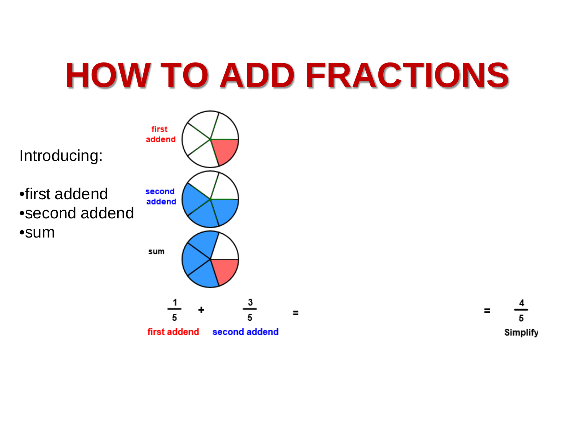# **HOW TO ADD FRACTIONS**



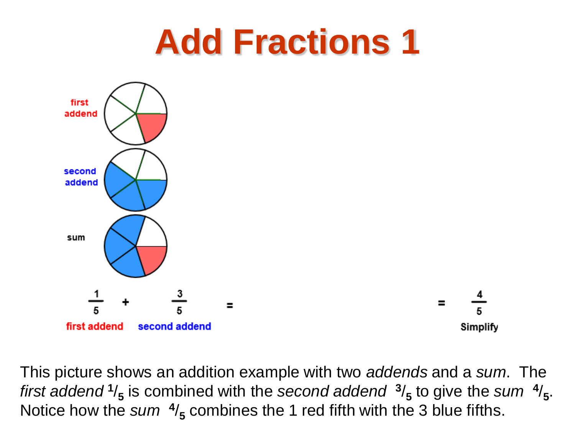

This picture shows an addition example with two *addends* and a *sum*. The *first addend*  $\frac{1}{5}$  is combined with the *second addend*  $\frac{3}{5}$  to give the *sum*  $\frac{4}{5}$ . Notice how the *sum*  $\frac{4}{5}$  combines the 1 red fifth with the 3 blue fifths.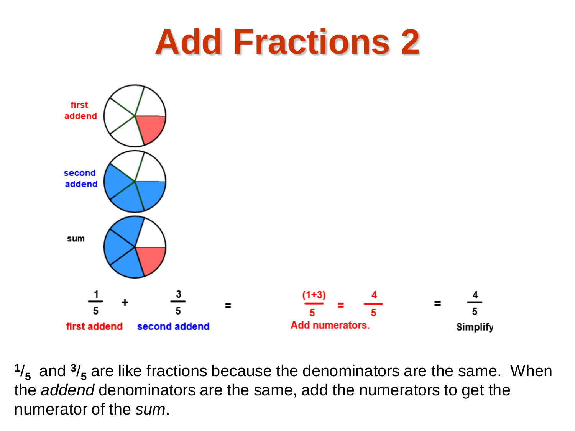

**<sup>1</sup>**/**5** and **<sup>3</sup>**/**<sup>5</sup>** are like fractions because the denominators are the same. When the *addend* denominators are the same, add the numerators to get the numerator of the *sum*.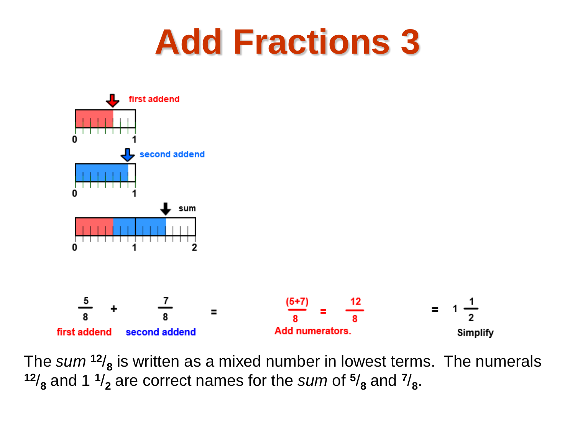

The sum  $12/8$  is written as a mixed number in lowest terms. The numerals  $12/8$  and 1  $1/2$  are correct names for the *sum* of  $5/8$  and  $7/8$ .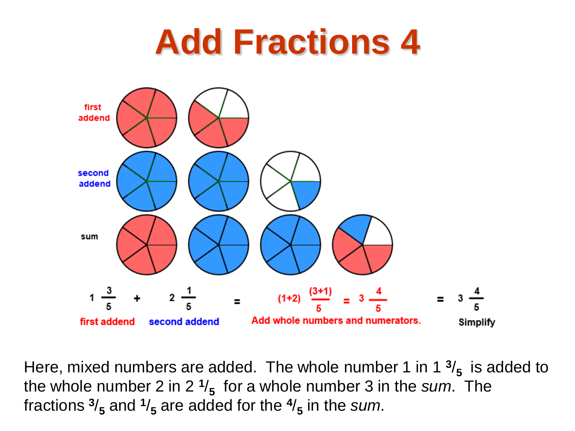

Here, mixed numbers are added. The whole number 1 in 1 $\frac{3}{5}$  is added to the whole number 2 in 2 **<sup>1</sup>**/**5** for a whole number 3 in the *sum*. The fractions  $\frac{3}{5}$  and  $\frac{1}{5}$  are added for the  $\frac{4}{5}$  in the *sum*.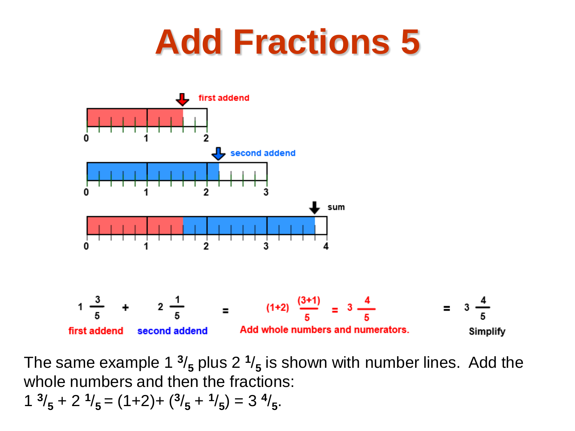

The same example 1  $\frac{3}{5}$  plus 2  $\frac{1}{5}$  is shown with number lines. Add the whole numbers and then the fractions:  $1 \frac{3}{5} + 2 \frac{1}{5} = (1+2) + \frac{3}{5} + \frac{1}{5} = 3 \frac{4}{5}$ .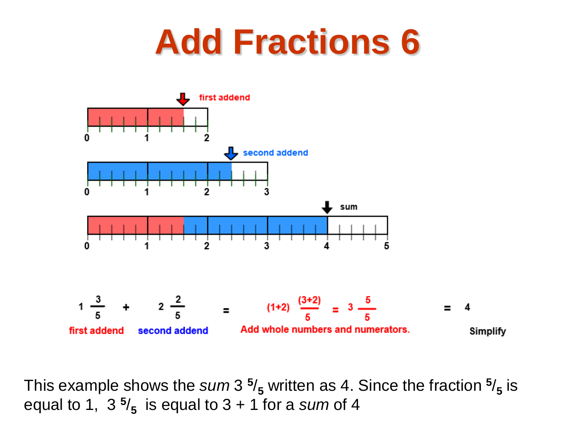

This example shows the  $sum 3 \frac{5}{5}$  written as 4. Since the fraction  $\frac{5}{5}$  is equal to 1,  $3\frac{5}{5}$  is equal to  $3 + 1$  for a *sum* of 4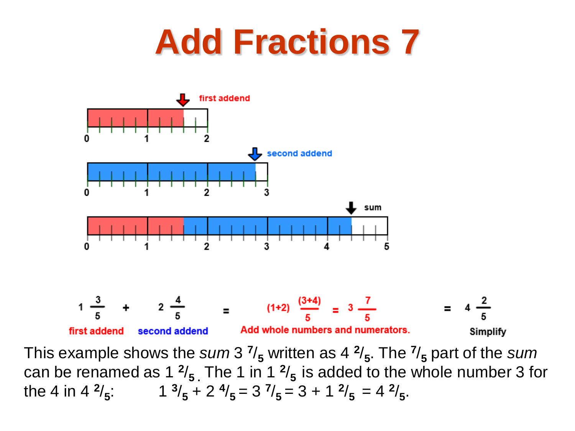

This example shows the *sum* 3 **<sup>7</sup>**/**<sup>5</sup>** written as 4 **<sup>2</sup>**/**5**. The **<sup>7</sup>**/**<sup>5</sup>** part of the *sum* can be renamed as 1  $\frac{2}{5}$ . The 1 in 1  $\frac{2}{5}$  is added to the whole number 3 for the 4 in 4  $\frac{2}{5}$ : 1  $\frac{3}{5}$  + 2  $\frac{4}{5}$  = 3  $\frac{7}{5}$  = 3 + 1  $\frac{2}{5}$  = 4  $\frac{2}{5}$ .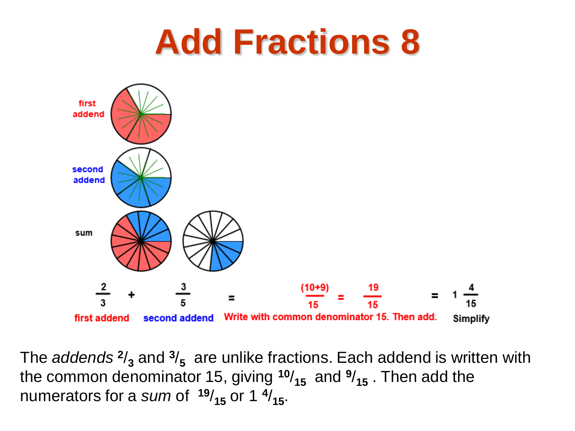

The *addends* **<sup>2</sup>**/**<sup>3</sup>** and **<sup>3</sup>**/**5** are unlike fractions. Each addend is written with the common denominator 15, giving  $10/_{15}$  and  $9/_{15}$ . Then add the numerators for a *sum* of  $19/_{15}$  or 1  $4/_{15}$ .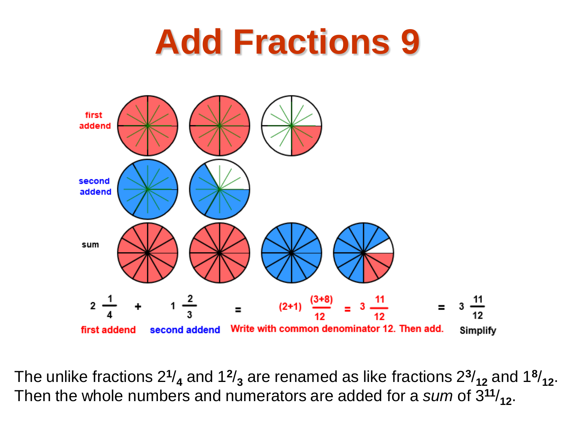

The unlike fractions  $2^{1/4}$  and  $1^{2/3}$  are renamed as like fractions  $2^{3/3}$  and  $1^{8/3}$ . Then the whole numbers and numerators are added for a *sum* of 3**<sup>11</sup>**/**12**.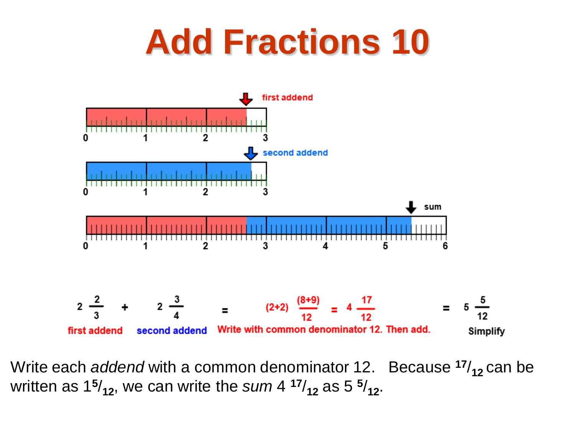

Write each *addend* with a common denominator 12. Because <sup>17</sup>/<sub>12</sub> can be written as  $15/12$ , we can write the *sum* 4  $17/12$  as 5  $5/12$ .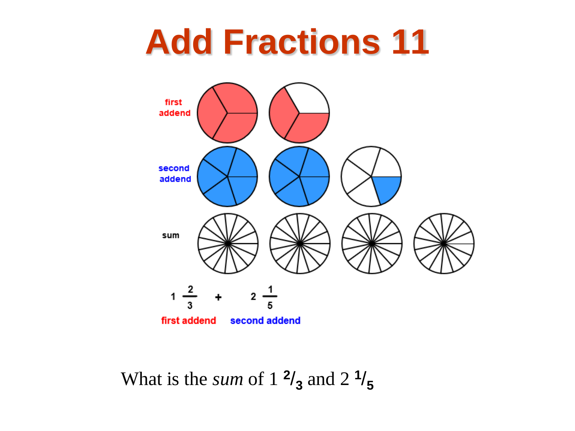

What is the *sum* of  $1 \frac{2}{3}$  and  $2 \frac{1}{5}$